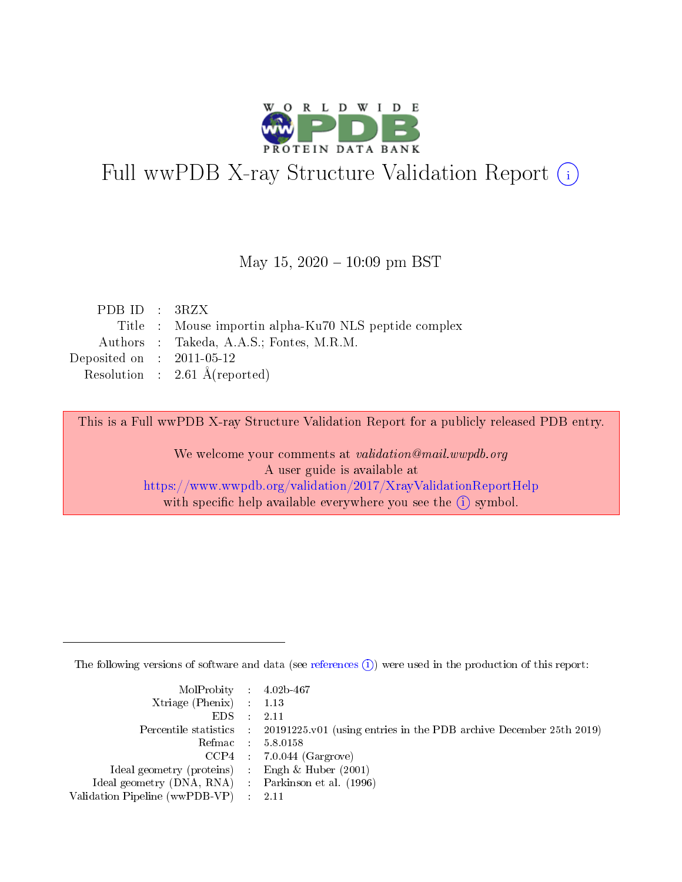

# Full wwPDB X-ray Structure Validation Report (i)

### May 15,  $2020 - 10:09$  pm BST

| PDB ID : $3RZX$             |                                                       |
|-----------------------------|-------------------------------------------------------|
|                             | Title : Mouse importin alpha-Ku70 NLS peptide complex |
|                             | Authors : Takeda, A.A.S.; Fontes, M.R.M.              |
| Deposited on : $2011-05-12$ |                                                       |
|                             | Resolution : $2.61 \text{ Å}$ (reported)              |

This is a Full wwPDB X-ray Structure Validation Report for a publicly released PDB entry.

We welcome your comments at validation@mail.wwpdb.org A user guide is available at <https://www.wwpdb.org/validation/2017/XrayValidationReportHelp> with specific help available everywhere you see the  $(i)$  symbol.

The following versions of software and data (see [references](https://www.wwpdb.org/validation/2017/XrayValidationReportHelp#references)  $(i)$ ) were used in the production of this report:

| $MolProbability$ 4.02b-467                          |                                                                                            |
|-----------------------------------------------------|--------------------------------------------------------------------------------------------|
| Xtriage (Phenix) $: 1.13$                           |                                                                                            |
| $EDS$ :                                             | -2.11                                                                                      |
|                                                     | Percentile statistics : 20191225.v01 (using entries in the PDB archive December 25th 2019) |
|                                                     | Refmac : 5.8.0158                                                                          |
|                                                     | $CCP4$ : 7.0.044 (Gargrove)                                                                |
| Ideal geometry (proteins) : Engh $\&$ Huber (2001)  |                                                                                            |
| Ideal geometry (DNA, RNA) : Parkinson et al. (1996) |                                                                                            |
| Validation Pipeline (wwPDB-VP)                      | -2.11                                                                                      |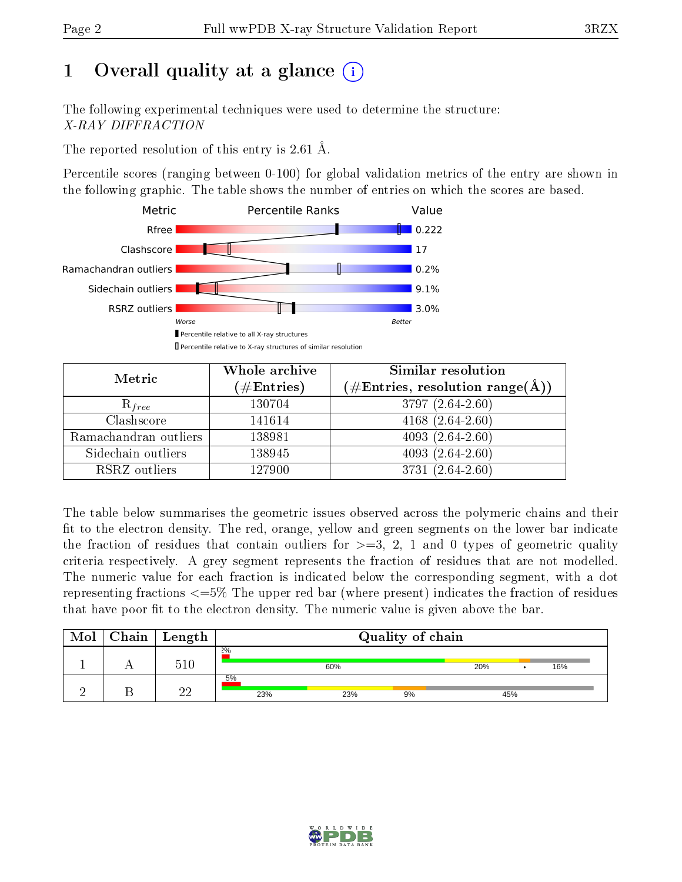# 1 [O](https://www.wwpdb.org/validation/2017/XrayValidationReportHelp#overall_quality)verall quality at a glance  $(i)$

The following experimental techniques were used to determine the structure: X-RAY DIFFRACTION

The reported resolution of this entry is 2.61 Å.

Percentile scores (ranging between 0-100) for global validation metrics of the entry are shown in the following graphic. The table shows the number of entries on which the scores are based.



| Metric                | Whole archive<br>$(\#\text{Entries})$ | Similar resolution<br>$(\#\text{Entries},\,\text{resolution}\,\,\text{range}(\textup{\AA}))$ |
|-----------------------|---------------------------------------|----------------------------------------------------------------------------------------------|
| $R_{free}$            | 130704                                | 3797 (2.64-2.60)                                                                             |
| Clashscore            | 141614                                | $4168(2.64-2.60)$                                                                            |
| Ramachandran outliers | 138981                                | $4093(2.64-2.60)$                                                                            |
| Sidechain outliers    | 138945                                | $4093(2.64-2.60)$                                                                            |
| RSRZ outliers         | 127900                                | 3731 (2.64-2.60)                                                                             |

The table below summarises the geometric issues observed across the polymeric chains and their fit to the electron density. The red, orange, yellow and green segments on the lower bar indicate the fraction of residues that contain outliers for  $>=3, 2, 1$  and 0 types of geometric quality criteria respectively. A grey segment represents the fraction of residues that are not modelled. The numeric value for each fraction is indicated below the corresponding segment, with a dot representing fractions <=5% The upper red bar (where present) indicates the fraction of residues that have poor fit to the electron density. The numeric value is given above the bar.

| Mol | Chain | Length | Quality of chain |     |    |     |  |     |
|-----|-------|--------|------------------|-----|----|-----|--|-----|
|     |       | 510    | 2%               | 60% |    | 20% |  | 16% |
|     |       | ഹ      | 5%<br>23%        | 23% | 9% | 45% |  |     |

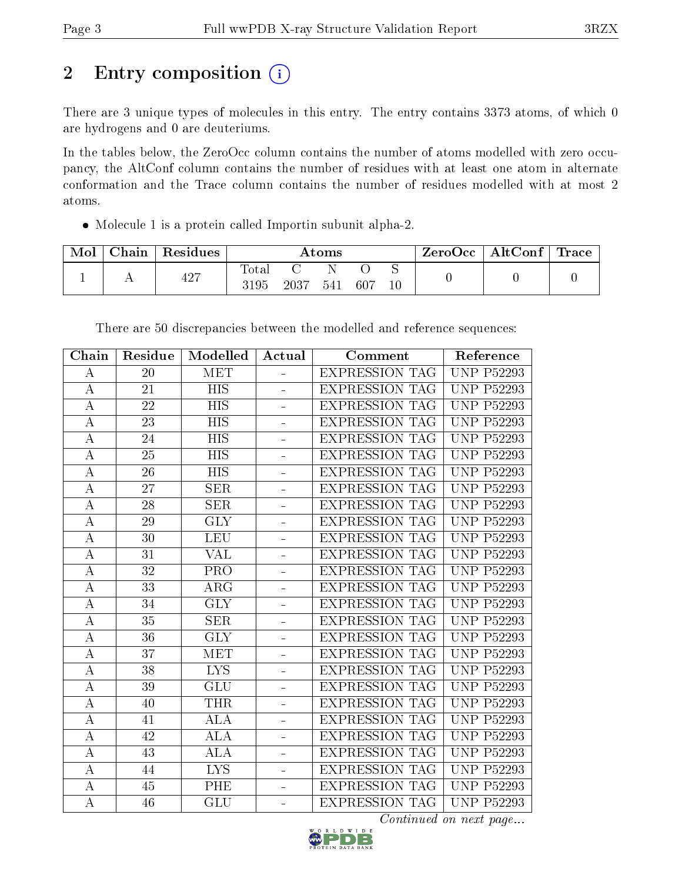# 2 Entry composition (i)

There are 3 unique types of molecules in this entry. The entry contains 3373 atoms, of which 0 are hydrogens and 0 are deuteriums.

In the tables below, the ZeroOcc column contains the number of atoms modelled with zero occupancy, the AltConf column contains the number of residues with at least one atom in alternate conformation and the Trace column contains the number of residues modelled with at most 2 atoms.

Molecule 1 is a protein called Importin subunit alpha-2.

| Mol | $\cap$ hain | Residues | $\rm{Atoms}$             |      |     | ZeroOcc | $\vert$ AltConf $\vert$ | $\mid$ Trace $\mid$ |  |  |
|-----|-------------|----------|--------------------------|------|-----|---------|-------------------------|---------------------|--|--|
|     | . .         | 427      | $\mathrm{Tota}.$<br>3195 | 2037 | 541 | 607     | ◡<br>$10\,$             |                     |  |  |

| Chain            | Residue         | Modelled                | Actual                   | Comment               | Reference                       |
|------------------|-----------------|-------------------------|--------------------------|-----------------------|---------------------------------|
| А                | 20              | MET                     |                          | <b>EXPRESSION TAG</b> | $\overline{UNP P52293}$         |
| A                | 21              | <b>HIS</b>              |                          | <b>EXPRESSION TAG</b> | <b>UNP P52293</b>               |
| $\bf{A}$         | 22              | <b>HIS</b>              | ÷,                       | <b>EXPRESSION TAG</b> | <b>UNP P52293</b>               |
| $\boldsymbol{A}$ | 23              | HIS                     | ÷,                       | <b>EXPRESSION TAG</b> | <b>UNP P52293</b>               |
| $\boldsymbol{A}$ | 24              | <b>HIS</b>              |                          | <b>EXPRESSION TAG</b> | <b>UNP P52293</b>               |
| $\bf{A}$         | 25              | HIS                     | ÷,                       | <b>EXPRESSION TAG</b> | <b>UNP P52293</b>               |
| $\bf{A}$         | 26              | <b>HIS</b>              | ÷,                       | <b>EXPRESSION TAG</b> | <b>UNP P52293</b>               |
| $\bf{A}$         | 27              | <b>SER</b>              |                          | <b>EXPRESSION TAG</b> | <b>UNP P52293</b>               |
| $\mathbf A$      | 28              | <b>SER</b>              | ÷,                       | <b>EXPRESSION TAG</b> | <b>UNP P52293</b>               |
| $\boldsymbol{A}$ | 29              | $\overline{\text{GLY}}$ | ÷,                       | <b>EXPRESSION TAG</b> | <b>UNP P52293</b>               |
| $\bf{A}$         | 30              | <b>LEU</b>              | $\equiv$                 | <b>EXPRESSION TAG</b> | <b>UNP P52293</b>               |
| $\overline{A}$   | $\overline{31}$ | $\overline{\text{VAL}}$ | $\overline{a}$           | <b>EXPRESSION TAG</b> | <b>UNP P52293</b>               |
| А                | 32              | PRO                     | $\equiv$                 | <b>EXPRESSION TAG</b> | <b>UNP P52293</b>               |
| $\boldsymbol{A}$ | 33              | $\rm{ARG}$              | ÷.                       | <b>EXPRESSION TAG</b> | <b>UNP P52293</b>               |
| $\overline{A}$   | 34              | $\overline{\text{GLY}}$ | ä,                       | <b>EXPRESSION TAG</b> | <b>UNP P52293</b>               |
| А                | 35              | <b>SER</b>              | ÷,                       | <b>EXPRESSION TAG</b> | <b>UNP P52293</b>               |
| А                | 36              | <b>GLY</b>              | L,                       | <b>EXPRESSION TAG</b> | <b>UNP P52293</b>               |
| $\bf{A}$         | 37              | MET                     | ÷,                       | <b>EXPRESSION TAG</b> | <b>UNP P52293</b>               |
| А                | 38              | <b>LYS</b>              | ÷,                       | <b>EXPRESSION TAG</b> | <b>UNP P52293</b>               |
| А                | 39              | GLU                     |                          | <b>EXPRESSION TAG</b> | <b>UNP P52293</b>               |
| $\bf{A}$         | 40              | <b>THR</b>              | ÷,                       | <b>EXPRESSION TAG</b> | <b>UNP P52293</b>               |
| $\boldsymbol{A}$ | 41              | <b>ALA</b>              | ÷,                       | <b>EXPRESSION TAG</b> | <b>UNP P52293</b>               |
| $\boldsymbol{A}$ | 42              | <b>ALA</b>              | ÷,                       | <b>EXPRESSION TAG</b> | <b>UNP P52293</b>               |
| $\overline{A}$   | 43              | $\overline{\rm ALA}$    | ÷,                       | <b>EXPRESSION TAG</b> | <b>UNP P52293</b>               |
| А                | 44              | <b>LYS</b>              | ÷,                       | <b>EXPRESSION TAG</b> | $\overline{\text{UNP P52}}$ 293 |
| $\bf{A}$         | 45              | PHE                     | $\overline{\phantom{0}}$ | <b>EXPRESSION TAG</b> | <b>UNP P52293</b>               |
| $\overline{A}$   | $\overline{46}$ | $\overline{\text{GLU}}$ | ÷,                       | <b>EXPRESSION TAG</b> | <b>UNP P52293</b>               |

There are 50 discrepancies between the modelled and reference sequences:

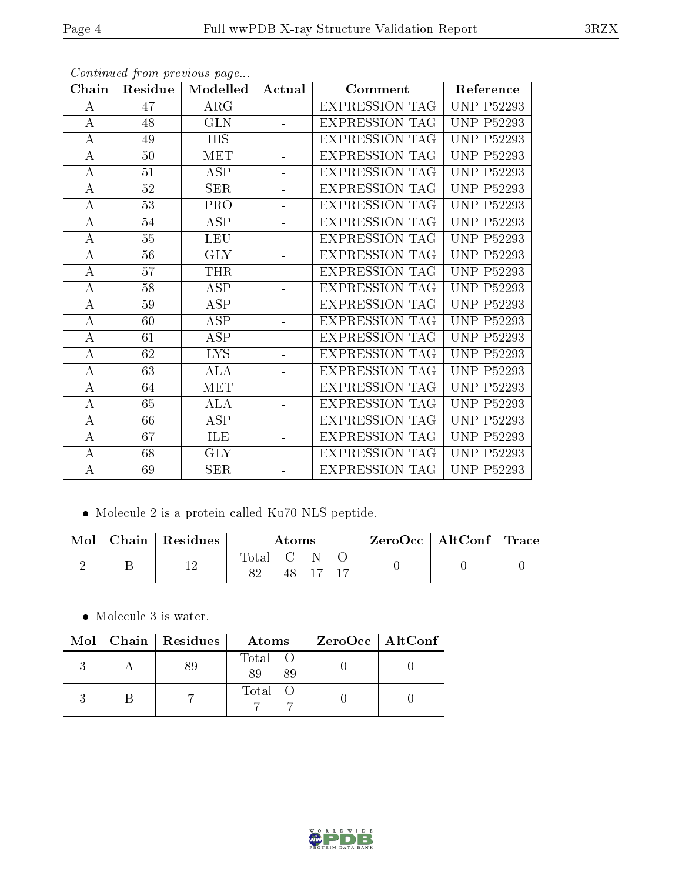| Chain            | Residue | Modelled                | Actual         | Comment               | Reference         |
|------------------|---------|-------------------------|----------------|-----------------------|-------------------|
| A                | 47      | ARG                     | ÷.             | <b>EXPRESSION TAG</b> | <b>UNP P52293</b> |
| $\bf{A}$         | 48      | <b>GLN</b>              | ÷,             | <b>EXPRESSION TAG</b> | <b>UNP P52293</b> |
| $\boldsymbol{A}$ | 49      | <b>HIS</b>              | ÷,             | <b>EXPRESSION TAG</b> | <b>UNP P52293</b> |
| $\boldsymbol{A}$ | 50      | <b>MET</b>              | ÷.             | <b>EXPRESSION TAG</b> | <b>UNP P52293</b> |
| А                | 51      | ASP                     | ÷              | <b>EXPRESSION TAG</b> | <b>UNP P52293</b> |
| $\bf{A}$         | 52      | <b>SER</b>              | ÷.             | <b>EXPRESSION TAG</b> | <b>UNP P52293</b> |
| Α                | 53      | <b>PRO</b>              |                | <b>EXPRESSION TAG</b> | <b>UNP P52293</b> |
| A                | $54\,$  | <b>ASP</b>              |                | <b>EXPRESSION TAG</b> | <b>UNP P52293</b> |
| $\boldsymbol{A}$ | $55\,$  | <b>LEU</b>              | $\blacksquare$ | <b>EXPRESSION TAG</b> | <b>UNP P52293</b> |
| $\bf{A}$         | 56      | $\overline{\text{GLY}}$ | ÷,             | <b>EXPRESSION TAG</b> | <b>UNP P52293</b> |
| $\bf{A}$         | 57      | <b>THR</b>              | ÷              | <b>EXPRESSION TAG</b> | <b>UNP P52293</b> |
| $\bf{A}$         | 58      | $\overline{\text{ASP}}$ | ÷              | <b>EXPRESSION TAG</b> | <b>UNP P52293</b> |
| A                | 59      | ASP                     | ÷,             | <b>EXPRESSION TAG</b> | <b>UNP P52293</b> |
| $\boldsymbol{A}$ | 60      | ASP                     | ÷              | <b>EXPRESSION TAG</b> | <b>UNP P52293</b> |
| $\bf{A}$         | 61      | ASP                     | ÷              | <b>EXPRESSION TAG</b> | <b>UNP P52293</b> |
| A                | 62      | <b>LYS</b>              | ÷              | <b>EXPRESSION TAG</b> | <b>UNP P52293</b> |
| $\bf{A}$         | 63      | ALA                     | ÷.             | <b>EXPRESSION TAG</b> | <b>UNP P52293</b> |
| A                | 64      | <b>MET</b>              |                | <b>EXPRESSION TAG</b> | <b>UNP P52293</b> |
| $\bf{A}$         | 65      | <b>ALA</b>              |                | EXPRESSION TAG        | <b>UNP P52293</b> |
| А                | 66      | $\overline{\text{ASP}}$ | Ξ.             | <b>EXPRESSION TAG</b> | <b>UNP P52293</b> |
| $\boldsymbol{A}$ | 67      | ILE                     | ÷              | <b>EXPRESSION TAG</b> | <b>UNP P52293</b> |
| $\bf{A}$         | 68      | <b>GLY</b>              | $\blacksquare$ | <b>EXPRESSION TAG</b> | <b>UNP P52293</b> |
| $\boldsymbol{A}$ | 69      | SER                     | -              | <b>EXPRESSION TAG</b> | <b>UNP P52293</b> |

Continued from previous page...

Molecule 2 is a protein called Ku70 NLS peptide.

| Mol | Chain   Residues | Atoms   |  |  |  | $\rm ZeroOcc$   AltConf   Trace |  |
|-----|------------------|---------|--|--|--|---------------------------------|--|
|     |                  | . Total |  |  |  |                                 |  |

Molecule 3 is water.

|  | $Mol$   Chain   Residues | Atoms               | ZeroOcc   AltConf |
|--|--------------------------|---------------------|-------------------|
|  |                          | Total O<br>89<br>89 |                   |
|  |                          | Total O             |                   |



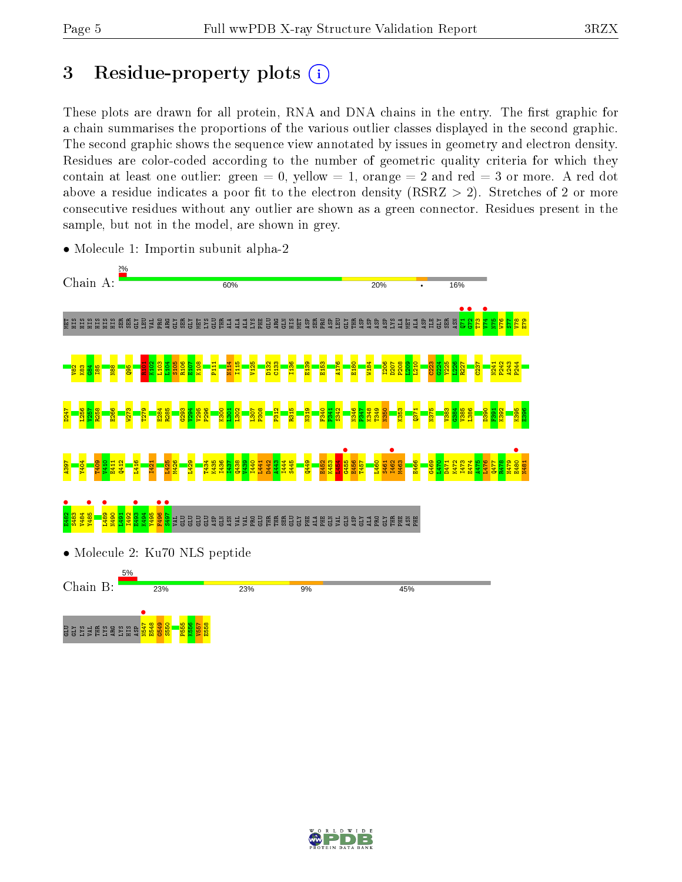# 3 Residue-property plots  $(i)$

These plots are drawn for all protein, RNA and DNA chains in the entry. The first graphic for a chain summarises the proportions of the various outlier classes displayed in the second graphic. The second graphic shows the sequence view annotated by issues in geometry and electron density. Residues are color-coded according to the number of geometric quality criteria for which they contain at least one outlier: green  $= 0$ , yellow  $= 1$ , orange  $= 2$  and red  $= 3$  or more. A red dot above a residue indicates a poor fit to the electron density (RSRZ  $> 2$ ). Stretches of 2 or more consecutive residues without any outlier are shown as a green connector. Residues present in the sample, but not in the model, are shown in grey.



• Molecule 1: Importin subunit alpha-2

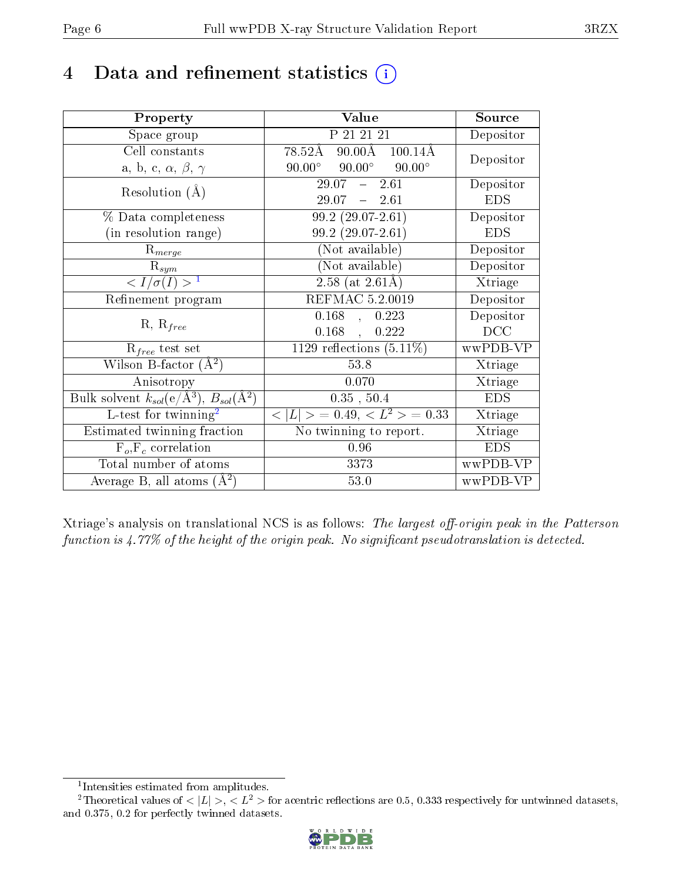# 4 Data and refinement statistics  $(i)$

| Property                                                         | Value                                             | Source     |
|------------------------------------------------------------------|---------------------------------------------------|------------|
| Space group                                                      | P 21 21 21                                        | Depositor  |
| Cell constants                                                   | $90.00\text{\AA}$<br>78.52Å<br>$100.14\text{\AA}$ | Depositor  |
| a, b, c, $\alpha$ , $\beta$ , $\gamma$                           | $90.00^{\circ}$ $90.00^{\circ}$<br>$90.00^\circ$  |            |
| Resolution $(A)$                                                 | $29.07 - 2.61$                                    | Depositor  |
|                                                                  | $29.07 = 2.61$                                    | <b>EDS</b> |
| % Data completeness                                              | $99.2(29.07-2.61)$                                | Depositor  |
| (in resolution range)                                            | $99.2(29.07-2.61)$                                | <b>EDS</b> |
| $R_{merge}$                                                      | (Not available)                                   | Depositor  |
| $\mathrm{R}_{sym}$                                               | (Not available)                                   | Depositor  |
| $\langle I/\sigma(I) \rangle^{-1}$                               | 2.58 (at $2.61\text{\AA}$ )                       | Xtriage    |
| Refinement program                                               | REFMAC 5.2.0019                                   | Depositor  |
| $R, R_{free}$                                                    | $0.168$ ,<br>0.223                                | Depositor  |
|                                                                  | $0.168$ ,<br>0.222                                | DCC        |
| $R_{free}$ test set                                              | $\overline{1129}$ reflections $(5.11\%)$          | wwPDB-VP   |
| Wilson B-factor $(A^2)$                                          | 53.8                                              | Xtriage    |
| Anisotropy                                                       | 0.070                                             | Xtriage    |
| Bulk solvent $k_{sol}(\text{e}/\text{A}^3), B_{sol}(\text{A}^2)$ | $0.35$ , $50.4$                                   | <b>EDS</b> |
| L-test for $\mathrm{twinning}^2$                                 | $< L >$ = 0.49, $< L^2 >$ = 0.33                  | Xtriage    |
| Estimated twinning fraction                                      | $\overline{\text{No}}$ twinning to report.        | Xtriage    |
| $F_o, F_c$ correlation                                           | 0.96                                              | <b>EDS</b> |
| Total number of atoms                                            | 3373                                              | wwPDB-VP   |
| Average B, all atoms $(A^2)$                                     | 53.0                                              | wwPDB-VP   |

Xtriage's analysis on translational NCS is as follows: The largest off-origin peak in the Patterson function is  $4.77\%$  of the height of the origin peak. No significant pseudotranslation is detected.

<sup>&</sup>lt;sup>2</sup>Theoretical values of  $\langle |L| \rangle$ ,  $\langle L^2 \rangle$  for acentric reflections are 0.5, 0.333 respectively for untwinned datasets, and 0.375, 0.2 for perfectly twinned datasets.



<span id="page-5-1"></span><span id="page-5-0"></span><sup>1</sup> Intensities estimated from amplitudes.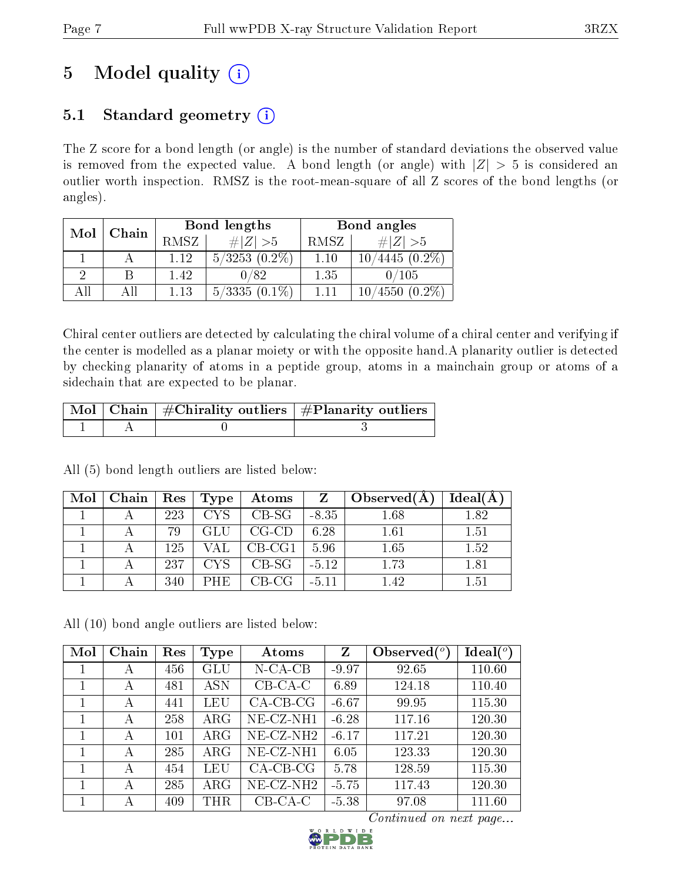# 5 Model quality  $(i)$

# 5.1 Standard geometry  $(i)$

The Z score for a bond length (or angle) is the number of standard deviations the observed value is removed from the expected value. A bond length (or angle) with  $|Z| > 5$  is considered an outlier worth inspection. RMSZ is the root-mean-square of all Z scores of the bond lengths (or angles).

| Mol | Chain |      | Bond lengths       | Bond angles |                                     |  |
|-----|-------|------|--------------------|-------------|-------------------------------------|--|
|     |       | RMSZ | # $ Z >5$          | RMSZ        | $\ Z\  > 5$                         |  |
|     |       | 1.12 | $5/3253$ $(0.2\%)$ | 1.10        | $^{\prime}4445~(0.2\%)$             |  |
|     |       | 1.42 | 0/82               | 1.35        | 0/105                               |  |
| ΔH  |       | 1.13 | $5/3335(0.1\%)$    | 1 1 1       | $(0.2\%)$<br>$^{\prime}4550$<br>10/ |  |

Chiral center outliers are detected by calculating the chiral volume of a chiral center and verifying if the center is modelled as a planar moiety or with the opposite hand.A planarity outlier is detected by checking planarity of atoms in a peptide group, atoms in a mainchain group or atoms of a sidechain that are expected to be planar.

|  | $\sqrt{\text{Mol} \mid \text{Chain}}$   #Chirality outliers   #Planarity outliers |
|--|-----------------------------------------------------------------------------------|
|  |                                                                                   |

All (5) bond length outliers are listed below:

| $\text{Mol}$ | Chain | $\operatorname{Res}$ | Type       | $\bold{Atoms}$        | Z       | Observed $(A)$ | Ideal(A) |
|--------------|-------|----------------------|------------|-----------------------|---------|----------------|----------|
|              |       | 223                  | CYS –      | $CB-SG$               | $-8.35$ | 1.68           | 1.82     |
|              |       | 79                   | <b>GLU</b> | CG-CD                 | 6.28    | 1.61           | 1.51     |
|              |       | 125                  | VAL        | $CB-CG1$              | 5.96    | 1.65           | 1.52     |
|              |       | 237                  | CYS –      | $CB-SG$               | $-5.12$ | 1.73           | 1.81     |
|              |       | 340                  | PHE        | $\perp$ CB-CG $\perp$ | $-5.11$ | 1.42           | 1.51     |

All (10) bond angle outliers are listed below:

| Mol          | Chain | Res | Type        | Atoms        | $\mathbf{Z}$ | Observed $(°)$ | Ideal $(^\circ)$ |
|--------------|-------|-----|-------------|--------------|--------------|----------------|------------------|
| $\mathbf{I}$ | A     | 456 | GLU         | $N$ -CA-CB   | $-9.97$      | 92.65          | 110.60           |
|              | А     | 481 | <b>ASN</b>  | $CB-CA-C$    | 6.89         | 124.18         | 110.40           |
|              | А     | 441 | LEU         | $CA-CB-CG$   | $-6.67$      | 99.95          | 115.30           |
|              | А     | 258 | $\rm{ARG}$  | NE-CZ-NH1    | $-6.28$      | 117.16         | 120.30           |
|              | А     | 101 | $\rm{ARG}$  | $NE- CZ-NH2$ | $-6.17$      | 117.21         | 120.30           |
|              | А     | 285 | ${\rm ARG}$ | NE-CZ-NH1    | 6.05         | 123.33         | 120.30           |
|              | А     | 454 | LEU         | $CA-CB-CG$   | 5.78         | 128.59         | 115.30           |
|              | А     | 285 | $\rm{ARG}$  | $NE-CZ-NH2$  | $-5.75$      | 117.43         | 120.30           |
|              | А     | 409 | <b>THR</b>  | $CB-CA-C$    | $-5.38$      | 97.08          | 111.60           |

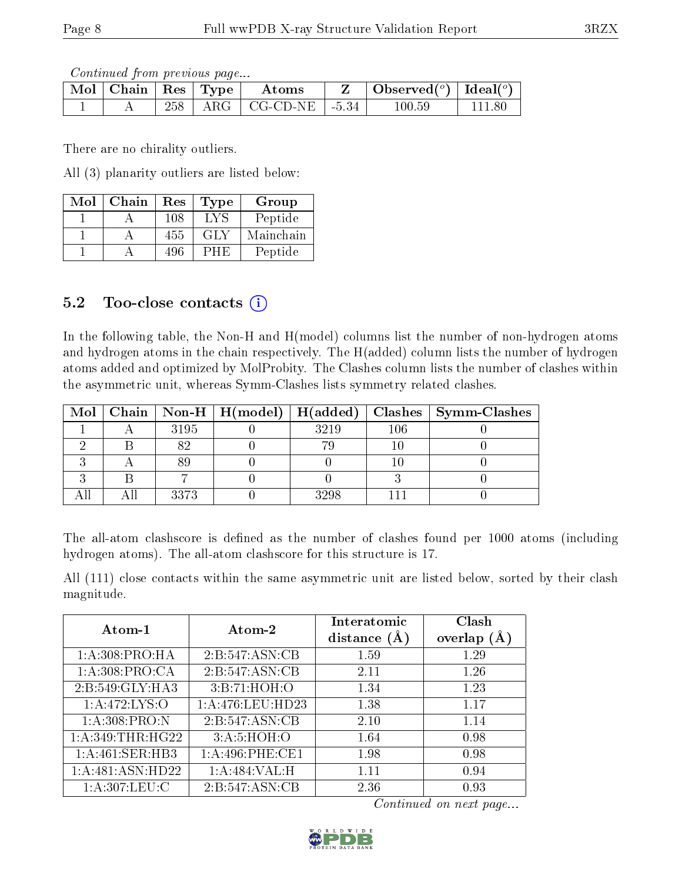Continued from previous page...

| $\parallel$ Mol $\parallel$ Chain $\parallel$ Res $\parallel$ Type $\perp$ |  | Atoms                          | Observed <sup>(<math>\circ</math>)</sup> [deal( $\circ$ ) |  |
|----------------------------------------------------------------------------|--|--------------------------------|-----------------------------------------------------------|--|
|                                                                            |  | $258$   ARG   CG-CD-NE   -5.34 | $100.59\,$                                                |  |

There are no chirality outliers.

All (3) planarity outliers are listed below:

| Mol | Chain | Res | Type | Group     |
|-----|-------|-----|------|-----------|
|     |       | 108 | LV S | Peptide   |
|     |       | 455 | GLY  | Mainchain |
|     |       | 496 | 'H F | Peptide   |

### 5.2 Too-close contacts (i)

In the following table, the Non-H and H(model) columns list the number of non-hydrogen atoms and hydrogen atoms in the chain respectively. The H(added) column lists the number of hydrogen atoms added and optimized by MolProbity. The Clashes column lists the number of clashes within the asymmetric unit, whereas Symm-Clashes lists symmetry related clashes.

|  |      | Mol   Chain   Non-H   H(model)   H(added) |      |         | Clashes   Symm-Clashes |
|--|------|-------------------------------------------|------|---------|------------------------|
|  | 3195 |                                           | 3219 | $106\,$ |                        |
|  |      |                                           |      |         |                        |
|  |      |                                           |      |         |                        |
|  |      |                                           |      |         |                        |
|  | 3373 |                                           | 3298 |         |                        |

The all-atom clashscore is defined as the number of clashes found per 1000 atoms (including hydrogen atoms). The all-atom clashscore for this structure is 17.

All (111) close contacts within the same asymmetric unit are listed below, sorted by their clash magnitude.

| Atom-1             | Atom-2            | Interatomic<br>distance $(A)$ | Clash<br>overlap $(A)$ |
|--------------------|-------------------|-------------------------------|------------------------|
| 1: A:308: PRO:HA   | 2:B:547:ASN:CB    | 1.59                          | 1.29                   |
| 1: A:308: PRO:CA   | 2:B:547:ASN:CB    | 2.11                          | 1.26                   |
| 2:B:549:GLY:HA3    | 3:B:71:HOH:O      | 1.34                          | 1.23                   |
| 1:A:472:LYS:O      | 1:A:476:LEU:HD23  | 1.38                          | 1.17                   |
| 1: A:308: PRO: N   | 2:B:547:ASN:CB    | 2.10                          | 1.14                   |
| 1: A:349:THR:HG22  | 3:A:5:HOH:O       | 1.64                          | 0.98                   |
| 1:A:461:SER:HB3    | 1: A:496: PHE:CE1 | 1.98                          | 0.98                   |
| 1: A:481: ASN:HD22 | 1:A:484:VAL:H     | 1.11                          | 0.94                   |
| 1: A:307:LEU:C     | 2:B:547:ASN:CB    | 2.36                          | 0.93                   |

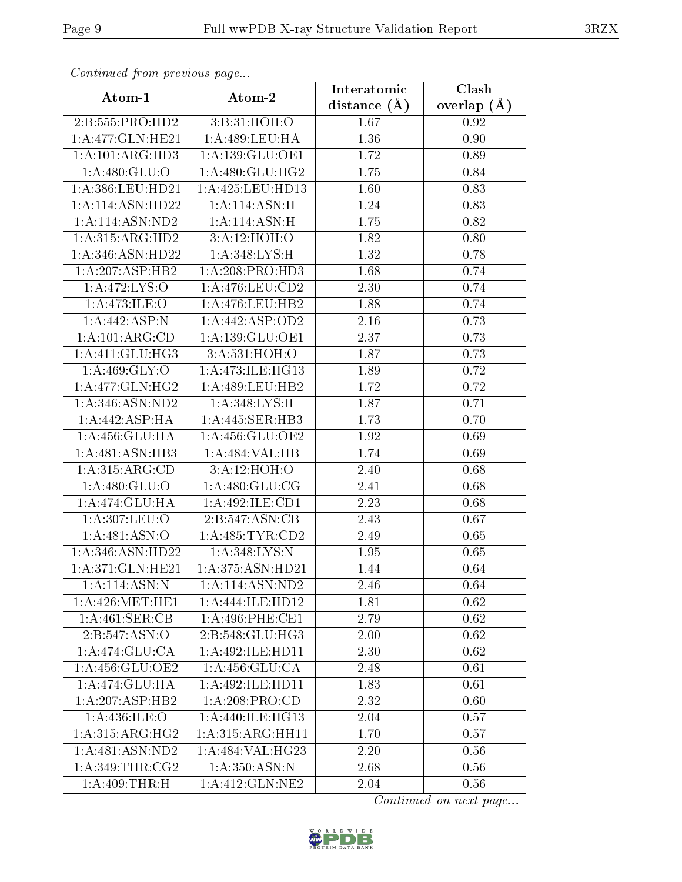| Continuata from previous page |                           | Interatomic    | Clash         |  |
|-------------------------------|---------------------------|----------------|---------------|--|
| Atom-1                        | Atom-2                    | distance $(A)$ | overlap $(A)$ |  |
| 2:B:555:PRO:HD2               | 3:B:31:HOH:O              | 1.67           | 0.92          |  |
| 1:A:477:GLN:HE21              | 1: A:489:LEU:HA           | 1.36           | 0.90          |  |
| 1:A:101:ARG:HD3               | 1:A:139:GLU:OE1           | 1.72           | 0.89          |  |
| 1:A:480:GLU:O                 | 1: A:480: GLU: HG2        | 1.75           | 0.84          |  |
| 1: A:386:LEU:HD21             | 1:A:425:LEU:HD13          | 1.60           | 0.83          |  |
| 1:A:114:ASN:HD22              | 1: A:114: ASN:H           | 1.24           | 0.83          |  |
| 1:A:114:ASN:ND2               | 1: A:114: ASN:H           | 1.75           | 0.82          |  |
| 1: A:315: ARG:HD2             | 3:A:12:HOH:O              | 1.82           | 0.80          |  |
| 1:A:346:ASN:HD22              | 1:A:348:LYS:H             | 1.32           | 0.78          |  |
| 1: A:207: ASP:HB2             | 1: A:208: PRO:HD3         | 1.68           | 0.74          |  |
| 1:A:472:LYS:O                 | 1: A:476:LEU:CD2          | 2.30           | 0.74          |  |
| 1:A:473:ILE:O                 | 1:A:476:LEU:HB2           | 1.88           | 0.74          |  |
| 1:A:442:ASP:N                 | 1:A:442:ASP:OD2           | 2.16           | 0.73          |  |
| 1:A:101:ARG:CD                | 1:A:139:GLU:OE1           | 2.37           | 0.73          |  |
| 1: A:411: GLU:HG3             | 3:A:531:HOH:O             | 1.87           | 0.73          |  |
| 1: A:469: GLY:O               | 1: A:473: ILE: HG13       | 1.89           | 0.72          |  |
| 1:A:477:GLN:HG2               | 1:A:489:LEU:HB2           | 1.72           | 0.72          |  |
| 1: A:346: ASN:ND2             | 1:A:348:LYS:H             | 1.87           | 0.71          |  |
| 1: A:442: ASP:HA              | 1:A:445:SER:HB3           | 1.73           | 0.70          |  |
| 1:A:456:GLU:HA                | 1: A:456: GLU:OE2         | 1.92           | 0.69          |  |
| 1:A:481:ASN:HB3               | 1:A:484:VAL:HB            | 1.74           | 0.69          |  |
| 1: A:315: ARG:CD              | $3:A:12:\overline{HOH:O}$ | 2.40           | 0.68          |  |
| 1: A:480: GLU:O               | 1: A:480: GLU:CG          | 2.41           | 0.68          |  |
| 1:A:474:GLU:HA                | 1:A:492:ILE:CD1           | 2.23           | 0.68          |  |
| 1:A:307:LEU:O                 | 2:B:547:ASN:CB            | 2.43           | 0.67          |  |
| 1:A:481:ASN:O                 | 1:A:485:TYR:CD2           | 2.49           | 0.65          |  |
| 1: A:346: ASN:HD22            | 1: A:348: LYS:N           | 1.95           | 0.65          |  |
| 1:A:371:GLN:HE21              | 1:A:375:ASN:HD21          | 1.44           | 0.64          |  |
| 1:A:114:ASN:N                 | 1:A:114:ASN:ND2           | 2.46           | 0.64          |  |
| 1: A:426: MET:HE1             | 1:A:444:ILE:HD12          | 1.81           | 0.62          |  |
| 1:A:461:SER:CB                | 1: A:496: PHE:CE1         | 2.79           | 0.62          |  |
| 2:B:547:ASN:O                 | 2:B:548:GLU:HG3           | 2.00           | 0.62          |  |
| 1:A:474:GLU:CA                | 1: A:492: ILE: HD11       | 2.30           | 0.62          |  |
| 1:A:456:GLU:OE2               | 1:A:456:GLU:CA            | 2.48           | 0.61          |  |
| 1:A:474:GLU:HA                | 1:A:492:ILE:HD11          | 1.83           | 0.61          |  |
| 1: A:207: ASP:HB2             | 1:A:208:PRO:CD            | 2.32           | 0.60          |  |
| 1: A:436: ILE: O              | 1:A:440:ILE:HG13          | 2.04           | 0.57          |  |
| 1:A:315:ARG:HG2               | 1: A:315: ARG: HH11       | 1.70           | 0.57          |  |
| 1: A:481: ASN:ND2             | 1: A:484: VAL: HG23       | 2.20           | 0.56          |  |
| 1: A:349:THR:CG2              | 1: A:350:ASN:N            | 2.68           | 0.56          |  |
| 1:A:409:THR:H                 | 1: A: 412: GLN: NE2       | 2.04           | 0.56          |  |

Continued from previous page.

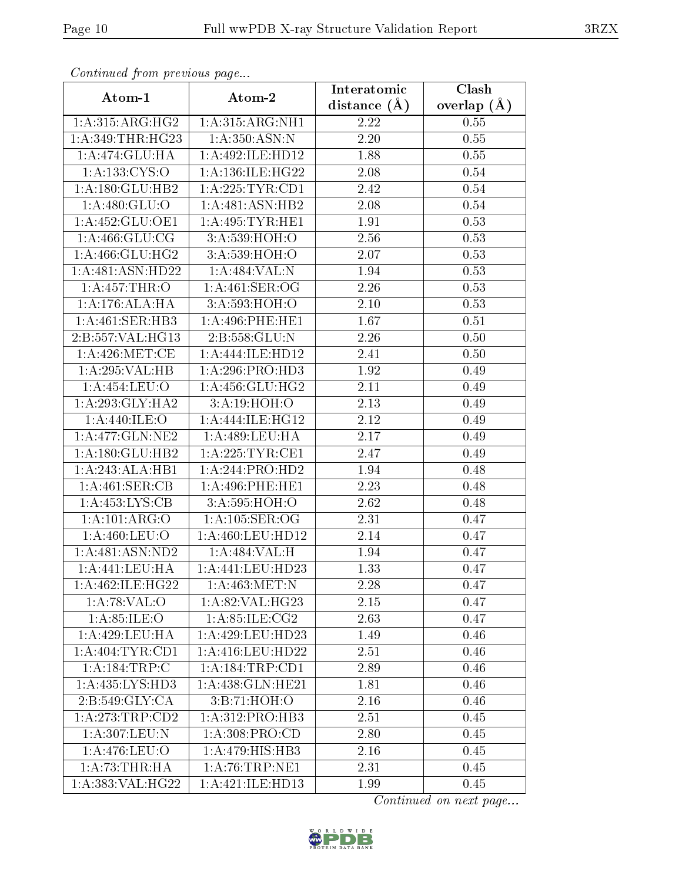| Continuea from previous page   |                              | Interatomic       | Clash           |  |
|--------------------------------|------------------------------|-------------------|-----------------|--|
| Atom-1                         | Atom-2                       | distance $(A)$    | overlap $(\AA)$ |  |
| 1: A: 315: ARG: HG2            | 1: A:315: ARG: NH1           | 2.22              | 0.55            |  |
| 1:A:349:THR:HG23               | 1: A:350:ASN:N               | $\overline{2.20}$ | 0.55            |  |
| 1: A:474: GLU: HA              | 1:A:492:ILE:HD12             | 1.88              | 0.55            |  |
| 1: A: 133: CYS:O               | 1:A:136:ILE:HG22             | 2.08              | 0.54            |  |
| 1:A:180:GLU:HB2                | 1: A:225:TYR:CD1             | 2.42              | 0.54            |  |
| 1: A:480: GLU:O                | 1:A:481:ASN:HB2              | 2.08              | 0.54            |  |
| 1:A:452:GLU:OE1                | 1: A:495: TYR: HE1           | 1.91              | 0.53            |  |
| 1: A:466: GLU:CG               | 3:A:539:HOH:O                | 2.56              | 0.53            |  |
| 1: A:466: GLU:HG2              | 3:A:539:HOH:O                | 2.07              | 0.53            |  |
| 1:A:481:ASN:HD22               | 1:A:484:VAL:N                | 1.94              | 0.53            |  |
| 1:A:457:THR:O                  | 1:A:461:SER:OG               | 2.26              | 0.53            |  |
| 1:A:176:ALA:HA                 | 3:A:593:HOH:O                | 2.10              | 0.53            |  |
| 1:A:461:SER:HB3                | 1: A:496:PHE:HE1             | 1.67              | 0.51            |  |
| $2:B:557:VAL: \overline{HG13}$ | 2:B:558:GLU:N                | 2.26              | 0.50            |  |
| 1: A:426: MET:CE               | 1:A:444:ILE:HD12             | 2.41              | 0.50            |  |
| 1:A:295:VAL:HB                 | 1:A:296:PRO:HD3              | 1.92              | 0.49            |  |
| 1:A:454:LEU:O                  | 1:A:456:GLU:HG2              | 2.11              | 0.49            |  |
| 1: A:293: GLY:HA2              | 3:A:19:HOH:O                 | 2.13              | 0.49            |  |
| 1:A:440:ILE:O                  | 1:A:444:ILE:HG12             | $\overline{2.12}$ | 0.49            |  |
| 1: A:477: GLN: NE2             | 1: A:489:LEU:HA              | 2.17              | 0.49            |  |
| 1: A:180: GLU: HB2             | 1: A:225:TYR:CE1             | 2.47              | 0.49            |  |
| 1:A:243:ALA:HB1                | 1:A:244:PRO:HD2              | 1.94              | 0.48            |  |
| 1:A:461:SER:CB                 | 1: A:496:PHE:HE1             | 2.23              | 0.48            |  |
| 1:A:453:LYS:CB                 | 3:A:595:HOH:O                | 2.62              | 0.48            |  |
| 1:A:101:ARG:O                  | 1: A: 105: SER: OG           | 2.31              | 0.47            |  |
| 1: A:460:LEU:O                 | 1:A:460:LEU:HD12             | 2.14              | 0.47            |  |
| 1:A:481:ASN:ND2                | 1:A:484:VAL:H                | 1.94              | 0.47            |  |
| 1:A:441:LEU:HA                 | 1:A:441:LEU:HD23             | 1.33              | 0.47            |  |
| 1: A:462: ILE: HG22            | 1: A:463:MET:N               | 2.28              | 0.47            |  |
| 1:A:78:VAL:O                   | 1: A:82: VAL:HG23            | 2.15              | 0.47            |  |
| 1: A:85: ILE:O                 | 1: A:85:ILE:CG2              | 2.63              | 0.47            |  |
| 1: A:429: LEU: HA              | 1: A: 429: LEU: HD23         | 1.49              | 0.46            |  |
| 1: A:404:TYR:CD1               | 1: A: 416: LEU: HD22         | 2.51              | 0.46            |  |
| 1:A:184:TRP:C                  | 1: A: 184: TRP: CD1          | 2.89              | 0.46            |  |
| 1: A: 435: LYS: HD3            | 1: A:438: GLN: HE21          | 1.81              | 0.46            |  |
| 2: B:549: GLY:CA               | 3: B: 71: HOH:O              | 2.16              | 0.46            |  |
| 1: A:273:TRP:CD2               | 1: A:312: PRO:HB3            | 2.51              | 0.45            |  |
| 1:A:307:LEU:N                  | 1: A:308: PRO:CD             | 2.80              | 0.45            |  |
| 1: A:476: LEU:O                | $1:A:479:HIS:H\overline{B3}$ | 2.16              | 0.45            |  |
| 1:A:73:THR:HA                  | 1: A:76:TRP:NE1              | 2.31              | 0.45            |  |
| 1:A:383:VAL:HG22               | 1:A:421:ILE:HD13             | 1.99              | 0.45            |  |

Continued from previous page.

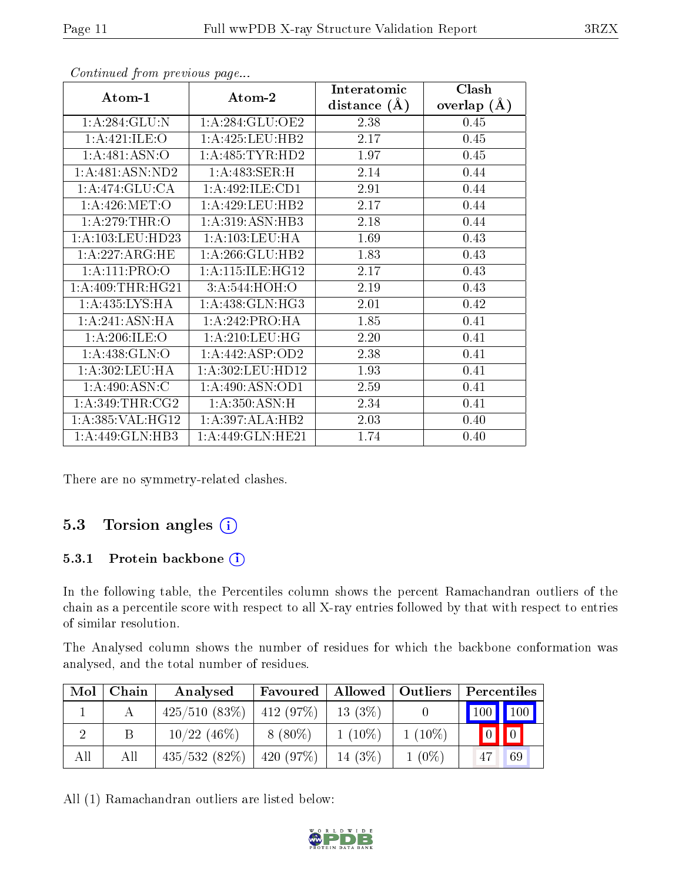| Atom-1            | Atom-2              | Interatomic    | Clash         |
|-------------------|---------------------|----------------|---------------|
|                   |                     | distance $(A)$ | overlap $(A)$ |
| 1: A:284: GLU:N   | 1: A:284: GLU:OE2   | 2.38           | 0.45          |
| 1: A:421: ILE: O  | 1: A: 425: LEU: HB2 | 2.17           | 0.45          |
| 1:A:481:ASN:O     | 1: A:485: TYR: HD2  | 1.97           | 0.45          |
| 1:A:481:ASN:ND2   | 1:A:483:SER:H       | 2.14           | 0.44          |
| 1:A:474:GLU:CA    | 1: A:492: ILE: CD1  | 2.91           | 0.44          |
| 1: A:426: MET:O   | 1:A:429:LEU:HB2     | 2.17           | 0.44          |
| 1: A:279:THR:O    | 1:A:319:ASN:HB3     | 2.18           | 0.44          |
| 1: A:103:LEU:HD23 | 1: A: 103: LEU: HA  | 1.69           | 0.43          |
| 1:A:227:ARG:HE    | 1: A:266: GLU:HB2   | 1.83           | 0.43          |
| 1: A:111: PRO:O   | 1: A:115: ILE: HG12 | 2.17           | 0.43          |
| 1: A:409:THR:HG21 | 3: A:544: HOH:O     | 2.19           | 0.43          |
| 1:A:435:LYS:HA    | 1: A:438: GLN: HG3  | 2.01           | 0.42          |
| 1: A:241: ASN: HA | 1:A:242:PRO:HA      | 1.85           | 0.41          |
| 1: A:206: ILE:O   | 1: A:210:LEU:HG     | 2.20           | 0.41          |
| 1:A:438:GLN:O     | 1: A:442: ASP:OD2   | 2.38           | 0.41          |
| 1:A:302:LEU:HA    | 1:A:302:LEU:HD12    | 1.93           | 0.41          |
| 1: A:490: ASN:C   | 1: A:490: ASN:OD1   | 2.59           | 0.41          |
| 1: A:349:THR:CG2  | 1: A:350:ASN:H      | 2.34           | 0.41          |
| 1:A:385:VAL:HG12  | 1:A:397:ALA:HB2     | 2.03           | 0.40          |
| 1:A:449:GLN:HB3   | 1:A:449:GLN:HE21    | 1.74           | 0.40          |

Continued from previous page...

There are no symmetry-related clashes.

### 5.3 Torsion angles (i)

#### 5.3.1 Protein backbone (i)

In the following table, the Percentiles column shows the percent Ramachandran outliers of the chain as a percentile score with respect to all X-ray entries followed by that with respect to entries of similar resolution.

The Analysed column shows the number of residues for which the backbone conformation was analysed, and the total number of residues.

| Mol | Chain | Analysed                            | Favoured  | Allowed    | $\mid$ Outliers | Percentiles |    |
|-----|-------|-------------------------------------|-----------|------------|-----------------|-------------|----|
|     |       | $425/510$ $(83\%)$   $412$ $(97\%)$ |           | $13(3\%)$  |                 | 100 100     |    |
|     | B     | $10/22$ (46\%)                      | $8(80\%)$ | $1(10\%)$  | $1(10\%)$       |             |    |
| All | All   | 435/532(82%)                        | 420(97%)  | 14 $(3\%)$ | $1(0\%)$        |             | 69 |

All (1) Ramachandran outliers are listed below:

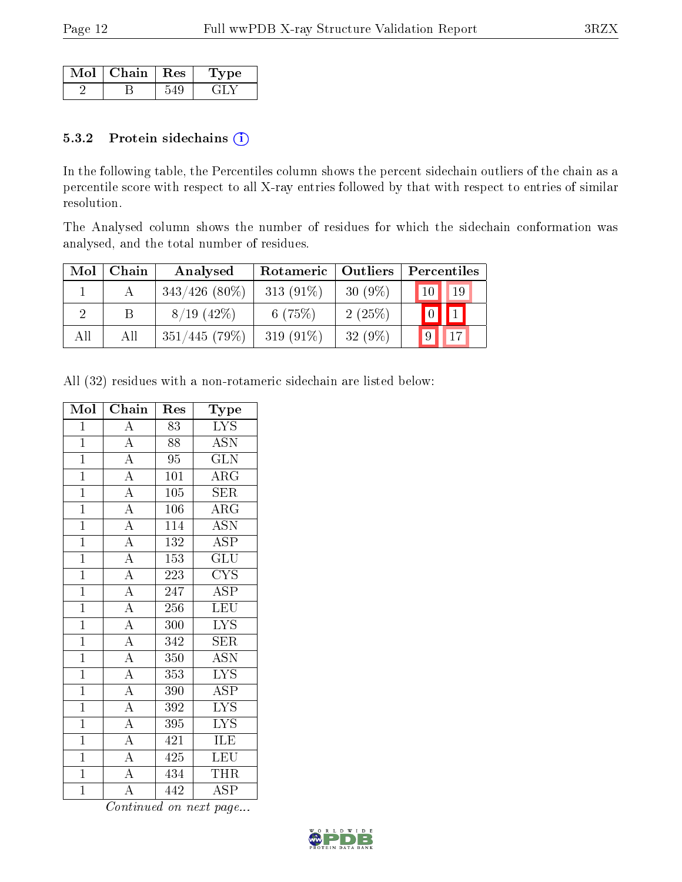| Mol | Chain | $+$ Res $+$ | ne. |
|-----|-------|-------------|-----|
|     |       |             |     |

#### 5.3.2 Protein sidechains (i)

In the following table, the Percentiles column shows the percent sidechain outliers of the chain as a percentile score with respect to all X-ray entries followed by that with respect to entries of similar resolution.

The Analysed column shows the number of residues for which the sidechain conformation was analysed, and the total number of residues.

| Mol | Chain | Analysed         | Rotameric    | Outliers  | Percentiles      |
|-----|-------|------------------|--------------|-----------|------------------|
|     |       | $343/426$ (80\%) | 313 $(91\%)$ | $30(9\%)$ | 19<br>10         |
| റ   | В     | $8/19$ (42\%)    | 6(75%)       | 2(25%)    | $\left(1\right)$ |
| All | All   | 351/445(79%)     | 319 $(91\%)$ | $32(9\%)$ | $^19$            |

All (32) residues with a non-rotameric sidechain are listed below:

| Mol            | Chain                               | Res              | Type                    |
|----------------|-------------------------------------|------------------|-------------------------|
| $\mathbf 1$    | A                                   | 83               | <b>LYS</b>              |
| $\mathbf{1}$   |                                     | 88               | ASN                     |
| $\mathbf{1}$   | $\frac{\overline{A}}{\overline{A}}$ | 95               | <b>GLN</b>              |
| $\overline{1}$ |                                     | $\overline{101}$ | $\overline{\rm{ARG}}$   |
| $\overline{1}$ | $\overline{A}$                      | 105              | $\overline{\text{SER}}$ |
| $\overline{1}$ | $\overline{A}$                      | $\overline{106}$ | $\overline{\text{ARG}}$ |
| $\overline{1}$ | $\overline{A}$                      | 114              | $\overline{\text{ASN}}$ |
| $\overline{1}$ | $\overline{A}$                      | 132              | $\overline{\text{ASP}}$ |
| $\overline{1}$ | $\frac{\overline{A}}{\overline{A}}$ | 153              | $\overline{{\rm GLU}}$  |
| $\mathbf{1}$   |                                     | 223              | <b>CYS</b>              |
| $\overline{1}$ |                                     | 247              | <b>ASP</b>              |
| $\mathbf{1}$   | $\frac{\overline{A}}{A}$            | 256              | $\overline{\text{LEU}}$ |
| $\mathbf{1}$   | $\overline{A}$                      | 300              | $\overline{\text{LYS}}$ |
| $\mathbf{1}$   | $\overline{A}$                      | 342              | <b>SER</b>              |
| $\mathbf{1}$   | $\overline{A}$                      | 350              | <b>ASN</b>              |
| $\overline{1}$ | $\overline{A}$                      | 353              | $\overline{\text{LYS}}$ |
| $\overline{1}$ | $\overline{A}$                      | 390              | <b>ASP</b>              |
| $\mathbf{1}$   | $\overline{A}$                      | 392              | $\overline{\text{LYS}}$ |
| $\mathbf{1}$   | $\overline{A}$                      | 395              | $\overline{\text{LYS}}$ |
| $\mathbf{1}$   |                                     | 421              | ILE                     |
| $\mathbf 1$    | $\frac{\overline{A}}{\overline{A}}$ | 425              | $\overline{\text{LEU}}$ |
| $\overline{1}$ | $\overline{A}$                      | 434              | <b>THR</b>              |
| $\mathbf 1$    | $\overline{\rm A}$                  | 442              | <b>ASP</b>              |

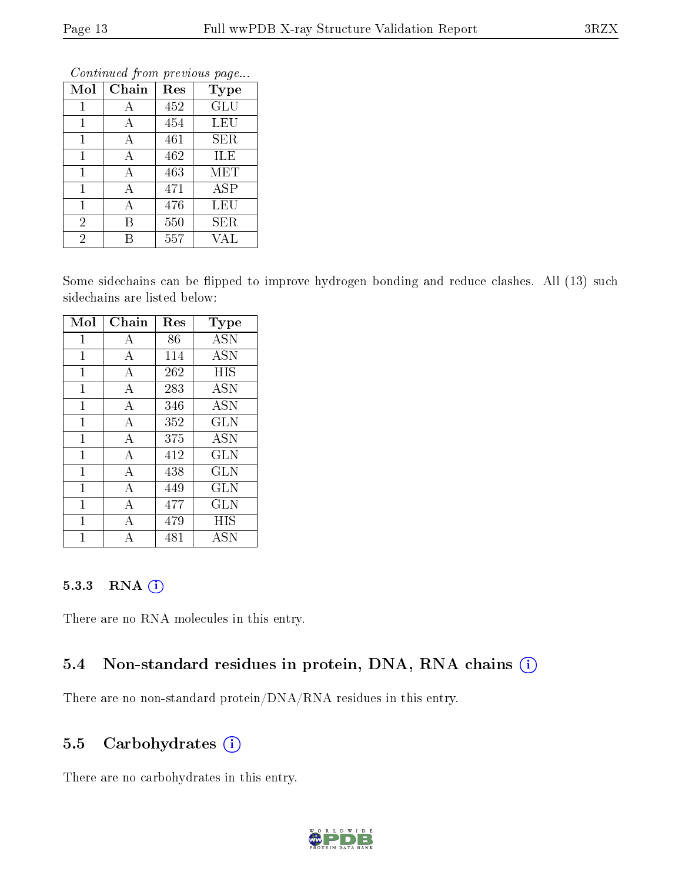| Mol            | Chain        | Res | Type |
|----------------|--------------|-----|------|
| 1              | А            | 452 | GLU  |
| 1              | А            | 454 | LEU  |
| 1              | А            | 461 | SER  |
| 1              | А            | 462 | ILE  |
| 1              | А            | 463 | MET  |
| 1              | $\mathbf{A}$ | 471 | ASP  |
| 1              | А            | 476 | LEU  |
| $\overline{2}$ | В            | 550 | SER  |
| $\overline{2}$ | R            | 557 | VAL  |

Continued from previous page.

Some sidechains can be flipped to improve hydrogen bonding and reduce clashes. All (13) such sidechains are listed below:

| Mol          | Chain          | Res | Type       |
|--------------|----------------|-----|------------|
| 1            | А              | 86  | <b>ASN</b> |
| $\mathbf{1}$ | $\bf{A}$       | 114 | ASN        |
| 1            | А              | 262 | <b>HIS</b> |
| 1            | А              | 283 | <b>ASN</b> |
| $\mathbf{1}$ | $\mathbf{A}$   | 346 | ASN        |
| $\mathbf 1$  | А              | 352 | <b>GLN</b> |
| 1            | А              | 375 | ASN        |
| $\mathbf{1}$ | $\bf{A}$       | 412 | GLN        |
| $\mathbf{1}$ | А              | 438 | GLN        |
| 1            | $\overline{A}$ | 449 | GLN        |
| $\mathbf{1}$ | $\bf{A}$       | 477 | GLN        |
| 1            | А              | 479 | HIS        |
|              |                | 481 | ASN        |

#### 5.3.3 RNA (1)

There are no RNA molecules in this entry.

#### 5.4 Non-standard residues in protein, DNA, RNA chains (i)

There are no non-standard protein/DNA/RNA residues in this entry.

### 5.5 Carbohydrates (i)

There are no carbohydrates in this entry.

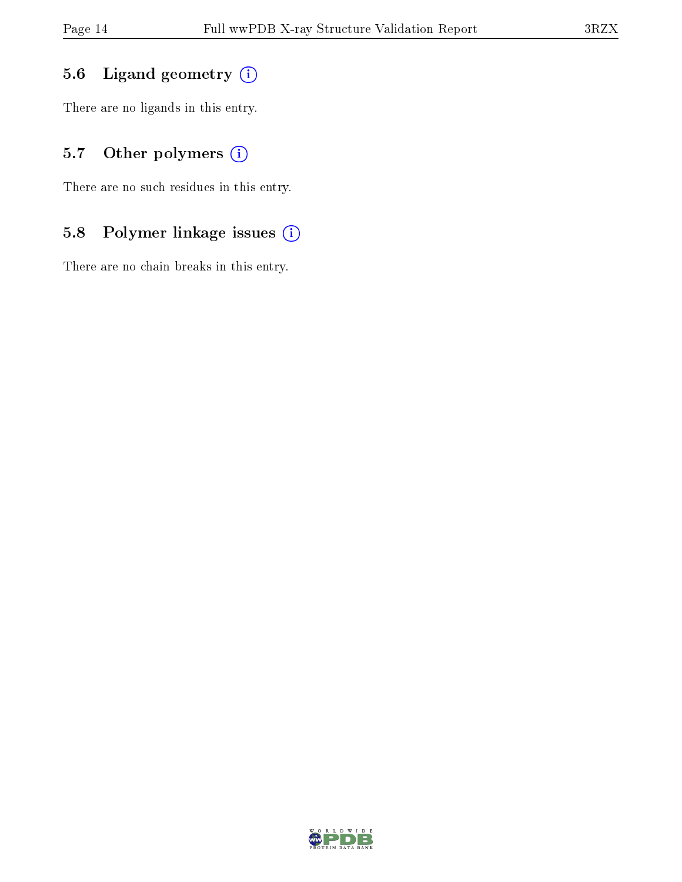### 5.6 Ligand geometry (i)

There are no ligands in this entry.

### 5.7 [O](https://www.wwpdb.org/validation/2017/XrayValidationReportHelp#nonstandard_residues_and_ligands)ther polymers (i)

There are no such residues in this entry.

### 5.8 Polymer linkage issues (i)

There are no chain breaks in this entry.

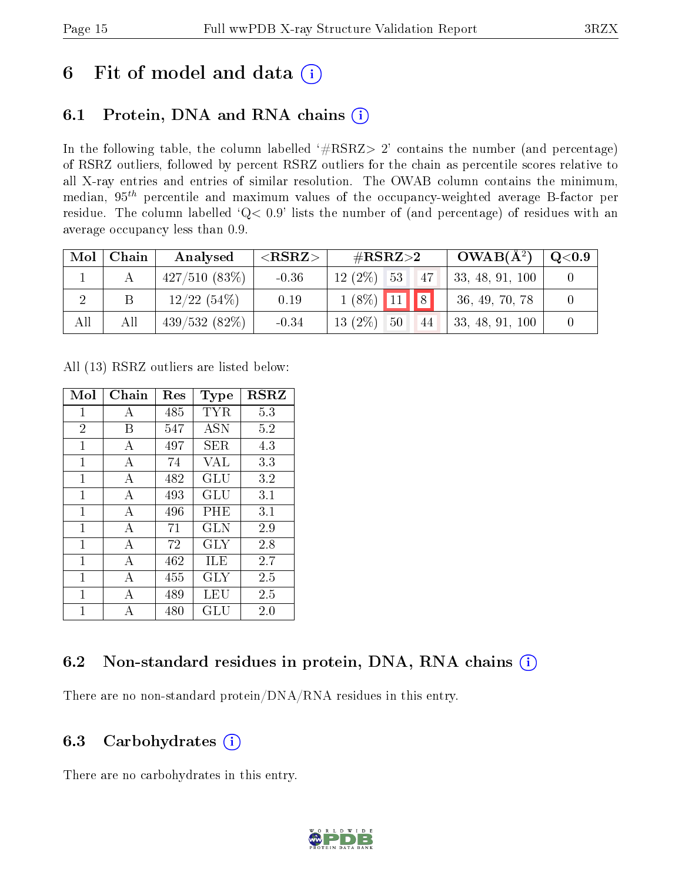# 6 Fit of model and data  $(i)$

## 6.1 Protein, DNA and RNA chains  $(i)$

In the following table, the column labelled  $#RSRZ> 2'$  contains the number (and percentage) of RSRZ outliers, followed by percent RSRZ outliers for the chain as percentile scores relative to all X-ray entries and entries of similar resolution. The OWAB column contains the minimum, median,  $95<sup>th</sup>$  percentile and maximum values of the occupancy-weighted average B-factor per residue. The column labelled ' $Q< 0.9$ ' lists the number of (and percentage) of residues with an average occupancy less than 0.9.

| Mol | Chain | Analysed     | $<$ RSRZ $>$ | # $RSRZ>2$    |    | $OWAB(A^2)$ | $\rm Q\textcolor{black}{<}0.9$ |  |
|-----|-------|--------------|--------------|---------------|----|-------------|--------------------------------|--|
|     |       | 427/510(83%) | $-0.36$      | $12(2\%)$ 53  |    | 47          | 33, 48, 91, 100                |  |
|     |       | 12/22(54%)   | 0.19         | $1(8\%)$ 11 8 |    |             | 36, 49, 70, 78                 |  |
| All | All   | 439/532(82%) | $-0.34$      | $13(2\%)$     | 50 | 44          | $\vert 33, 48, 91, 100 \vert$  |  |

All (13) RSRZ outliers are listed below:

| Mol            | Chain | $\operatorname{Res}% \left( \mathcal{N}\right) \equiv\operatorname{Res}(\mathcal{N}_{0},\mathcal{N}_{0})$ | <b>Type</b> | <b>RSRZ</b> |
|----------------|-------|-----------------------------------------------------------------------------------------------------------|-------------|-------------|
| $\mathbf 1$    | А     | 485                                                                                                       | <b>TYR</b>  | 5.3         |
| $\overline{2}$ | В     | 547                                                                                                       | <b>ASN</b>  | 5.2         |
| 1              | А     | 497                                                                                                       | SER.        | 4.3         |
| 1              | А     | 74                                                                                                        | <b>VAL</b>  | 3.3         |
| 1              | А     | 482                                                                                                       | GLU         | 3.2         |
| $\mathbf{1}$   | А     | 493                                                                                                       | GLU         | 3.1         |
| 1              | А     | 496                                                                                                       | PHE         | 3.1         |
| $\mathbf{1}$   | A     | 71                                                                                                        | <b>GLN</b>  | 2.9         |
| $\mathbf{1}$   | А     | 72                                                                                                        | <b>GLY</b>  | 2.8         |
| 1              | А     | 462                                                                                                       | ILE         | 2.7         |
| $\mathbf{1}$   | A     | 455                                                                                                       | GLY         | 2.5         |
| 1              | А     | 489                                                                                                       | LEU         | 2.5         |
| 1              |       | 480                                                                                                       | GLU         | 2.0         |

### 6.2 Non-standard residues in protein, DNA, RNA chains (i)

There are no non-standard protein/DNA/RNA residues in this entry.

### 6.3 Carbohydrates (i)

There are no carbohydrates in this entry.